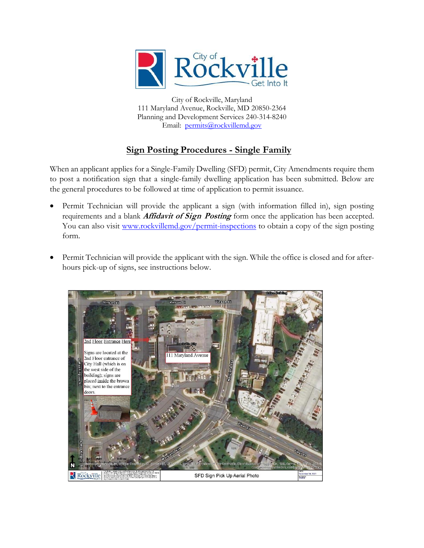

City of Rockville, Maryland 111 Maryland Avenue, Rockville, MD 20850-2364 Planning and Development Services 240-314-8240 Email: [permits@rockvillemd.gov](mailto:permits@rockvillemd.gov)

## **Sign Posting Procedures - Single Family**

When an applicant applies for a Single-Family Dwelling (SFD) permit, City Amendments require them to post a notification sign that a single-family dwelling application has been submitted. Below are the general procedures to be followed at time of application to permit issuance.

- Permit Technician will provide the applicant a sign (with information filled in), sign posting requirements and a blank **Affidavit of Sign Posting** form once the application has been accepted. You can also visit [www.rockvillemd.gov/permit-inspections](http://www.rockvillemd.gov/permit-inspections) to obtain a copy of the sign posting form.
- Permit Technician will provide the applicant with the sign. While the office is closed and for afterhours pick-up of signs, see instructions below.